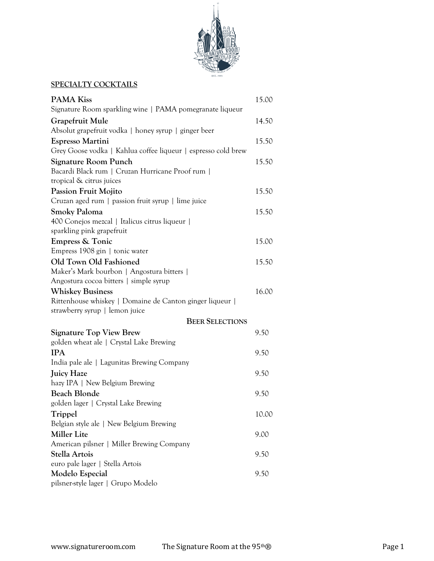

# **SPECIALTY COCKTAILS**

| <b>PAMA Kiss</b><br>Signature Room sparkling wine   PAMA pomegranate liqueur | 15.00 |
|------------------------------------------------------------------------------|-------|
| Grapefruit Mule                                                              | 14.50 |
| Absolut grapefruit vodka   honey syrup   ginger beer                         |       |
| Espresso Martini                                                             | 15.50 |
| Grey Goose vodka   Kahlua coffee liqueur   espresso cold brew                |       |
| Signature Room Punch                                                         | 15.50 |
| Bacardi Black rum   Cruzan Hurricane Proof rum                               |       |
| tropical & citrus juices                                                     |       |
| Passion Fruit Mojito                                                         | 15.50 |
| Cruzan aged rum   passion fruit syrup   lime juice                           |       |
| <b>Smoky Paloma</b>                                                          | 15.50 |
| 400 Conejos mezcal   Italicus citrus liqueur                                 |       |
| sparkling pink grapefruit                                                    |       |
| <b>Empress &amp; Tonic</b>                                                   | 15.00 |
| Empress 1908 gin   tonic water                                               |       |
| Old Town Old Fashioned                                                       | 15.50 |
| Maker's Mark bourbon   Angostura bitters                                     |       |
| Angostura cocoa bitters   simple syrup                                       |       |
| <b>Whiskey Business</b>                                                      | 16.00 |
| Rittenhouse whiskey   Domaine de Canton ginger liqueur                       |       |
| strawberry syrup   lemon juice                                               |       |
| <b>BEER SELECTIONS</b>                                                       |       |
| <b>Signature Top View Brew</b>                                               | 9.50  |
| golden wheat ale   Crystal Lake Brewing                                      |       |
| <b>IPA</b>                                                                   | 9.50  |
| India pale ale   Lagunitas Brewing Company                                   |       |
| <b>Juicy Haze</b>                                                            | 9.50  |
| hazy IPA   New Belgium Brewing                                               |       |
| <b>Beach Blonde</b>                                                          | 9.50  |
| golden lager   Crystal Lake Brewing                                          |       |
| Trippel                                                                      | 10.00 |
| Belgian style ale   New Belgium Brewing                                      |       |
| <b>Miller Lite</b>                                                           | 9.00  |
| American pilsner   Miller Brewing Company                                    |       |
| Stella Artois                                                                | 9.50  |
| euro pale lager   Stella Artois                                              |       |
| Modelo Especial                                                              | 9.50  |
| pilsner-style lager   Grupo Modelo                                           |       |